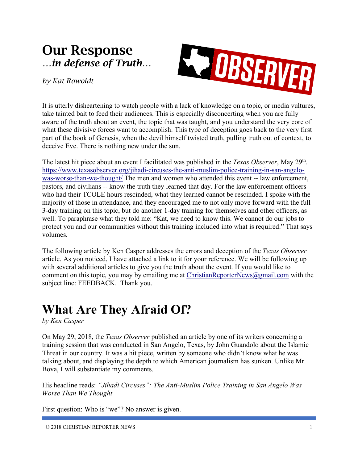## Our Response *…in defense of Truth…*

*by Kat Rowoldt*



It is utterly disheartening to watch people with a lack of knowledge on a topic, or media vultures, take tainted bait to feed their audiences. This is especially disconcerting when you are fully aware of the truth about an event, the topic that was taught, and you understand the very core of what these divisive forces want to accomplish. This type of deception goes back to the very first part of the book of Genesis, when the devil himself twisted truth, pulling truth out of context, to deceive Eve. There is nothing new under the sun.

The latest hit piece about an event I facilitated was published in the *Texas Observer*, May 29th. https://www.texasobserver.org/jihadi-circuses-the-anti-muslim-police-training-in-san-angelowas-worse-than-we-thought/ The men and women who attended this event -- law enforcement, pastors, and civilians -- know the truth they learned that day. For the law enforcement officers who had their TCOLE hours rescinded, what they learned cannot be rescinded. I spoke with the majority of those in attendance, and they encouraged me to not only move forward with the full 3-day training on this topic, but do another 1-day training for themselves and other officers, as well. To paraphrase what they told me: "Kat, we need to know this. We cannot do our jobs to protect you and our communities without this training included into what is required." That says volumes.

The following article by Ken Casper addresses the errors and deception of the *Texas Observer* article. As you noticed, I have attached a link to it for your reference. We will be following up with several additional articles to give you the truth about the event. If you would like to comment on this topic, you may by emailing me at ChristianReporterNews@gmail.com with the subject line: FEEDBACK. Thank you.

## **What Are They Afraid Of?**

*by Ken Casper*

On May 29, 2018, the *Texas Observer* published an article by one of its writers concerning a training session that was conducted in San Angelo, Texas, by John Guandolo about the Islamic Threat in our country. It was a hit piece, written by someone who didn't know what he was talking about, and displaying the depth to which American journalism has sunken. Unlike Mr. Bova, I will substantiate my comments.

His headline reads: *"Jihadi Circuses": The Anti-Muslim Police Training in San Angelo Was Worse Than We Thought*

First question: Who is "we"? No answer is given.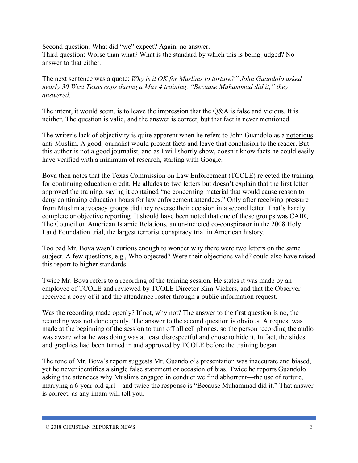Second question: What did "we" expect? Again, no answer. Third question: Worse than what? What is the standard by which this is being judged? No answer to that either.

The next sentence was a quote: *Why is it OK for Muslims to torture?" John Guandolo asked nearly 30 West Texas cops during a May 4 training. "Because Muhammad did it," they answered.*

The intent, it would seem, is to leave the impression that the Q&A is false and vicious. It is neither. The question is valid, and the answer is correct, but that fact is never mentioned.

The writer's lack of objectivity is quite apparent when he refers to John Guandolo as a notorious anti-Muslim. A good journalist would present facts and leave that conclusion to the reader. But this author is not a good journalist, and as I will shortly show, doesn't know facts he could easily have verified with a minimum of research, starting with Google.

Bova then notes that the Texas Commission on Law Enforcement (TCOLE) rejected the training for continuing education credit. He alludes to two letters but doesn't explain that the first letter approved the training, saying it contained "no concerning material that would cause reason to deny continuing education hours for law enforcement attendees." Only after receiving pressure from Muslim advocacy groups did they reverse their decision in a second letter. That's hardly complete or objective reporting. It should have been noted that one of those groups was CAIR, The Council on American Islamic Relations, an un-indicted co-conspirator in the 2008 Holy Land Foundation trial, the largest terrorist conspiracy trial in American history.

Too bad Mr. Bova wasn't curious enough to wonder why there were two letters on the same subject. A few questions, e.g., Who objected? Were their objections valid? could also have raised this report to higher standards.

Twice Mr. Bova refers to a recording of the training session. He states it was made by an employee of TCOLE and reviewed by TCOLE Director Kim Vickers, and that the Observer received a copy of it and the attendance roster through a public information request.

Was the recording made openly? If not, why not? The answer to the first question is no, the recording was not done openly. The answer to the second question is obvious. A request was made at the beginning of the session to turn off all cell phones, so the person recording the audio was aware what he was doing was at least disrespectful and chose to hide it. In fact, the slides and graphics had been turned in and approved by TCOLE before the training began.

The tone of Mr. Bova's report suggests Mr. Guandolo's presentation was inaccurate and biased, yet he never identifies a single false statement or occasion of bias. Twice he reports Guandolo asking the attendees why Muslims engaged in conduct we find abhorrent—the use of torture, marrying a 6-year-old girl—and twice the response is "Because Muhammad did it." That answer is correct, as any imam will tell you.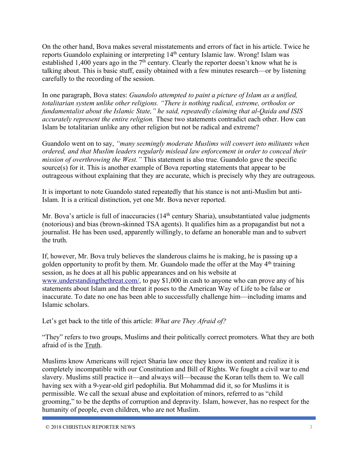On the other hand, Bova makes several misstatements and errors of fact in his article. Twice he reports Guandolo explaining or interpreting 14th century Islamic law. Wrong! Islam was established 1,400 years ago in the  $7<sup>th</sup>$  century. Clearly the reporter doesn't know what he is talking about. This is basic stuff, easily obtained with a few minutes research—or by listening carefully to the recording of the session.

In one paragraph, Bova states: *Guandolo attempted to paint a picture of Islam as a unified, totalitarian system unlike other religions. "There is nothing radical, extreme, orthodox or fundamentalist about the Islamic State," he said, repeatedly claiming that al-Qaida and ISIS accurately represent the entire religion.* These two statements contradict each other. How can Islam be totalitarian unlike any other religion but not be radical and extreme?

Guandolo went on to say, *"many seemingly moderate Muslims will convert into militants when ordered, and that Muslim leaders regularly mislead law enforcement in order to conceal their mission of overthrowing the West."* This statement is also true. Guandolo gave the specific source(s) for it. This is another example of Bova reporting statements that appear to be outrageous without explaining that they are accurate, which is precisely why they are outrageous.

It is important to note Guandolo stated repeatedly that his stance is not anti-Muslim but anti-Islam. It is a critical distinction, yet one Mr. Bova never reported.

Mr. Bova's article is full of inaccuracies (14<sup>th</sup> century Sharia), unsubstantiated value judgments (notorious) and bias (brown-skinned TSA agents). It qualifies him as a propagandist but not a journalist. He has been used, apparently willingly, to defame an honorable man and to subvert the truth.

If, however, Mr. Bova truly believes the slanderous claims he is making, he is passing up a golden opportunity to profit by them. Mr. Guandolo made the offer at the May  $4<sup>th</sup>$  training session, as he does at all his public appearances and on his website at www.understandingthethreat.com/, to pay \$1,000 in cash to anyone who can prove any of his statements about Islam and the threat it poses to the American Way of Life to be false or inaccurate. To date no one has been able to successfully challenge him—including imams and Islamic scholars.

Let's get back to the title of this article: *What are They Afraid of?*

"They" refers to two groups, Muslims and their politically correct promoters. What they are both afraid of is the Truth.

Muslims know Americans will reject Sharia law once they know its content and realize it is completely incompatible with our Constitution and Bill of Rights. We fought a civil war to end slavery. Muslims still practice it—and always will—because the Koran tells them to. We call having sex with a 9-year-old girl pedophilia. But Mohammad did it, so for Muslims it is permissible. We call the sexual abuse and exploitation of minors, referred to as "child grooming," to be the depths of corruption and depravity. Islam, however, has no respect for the humanity of people, even children, who are not Muslim.